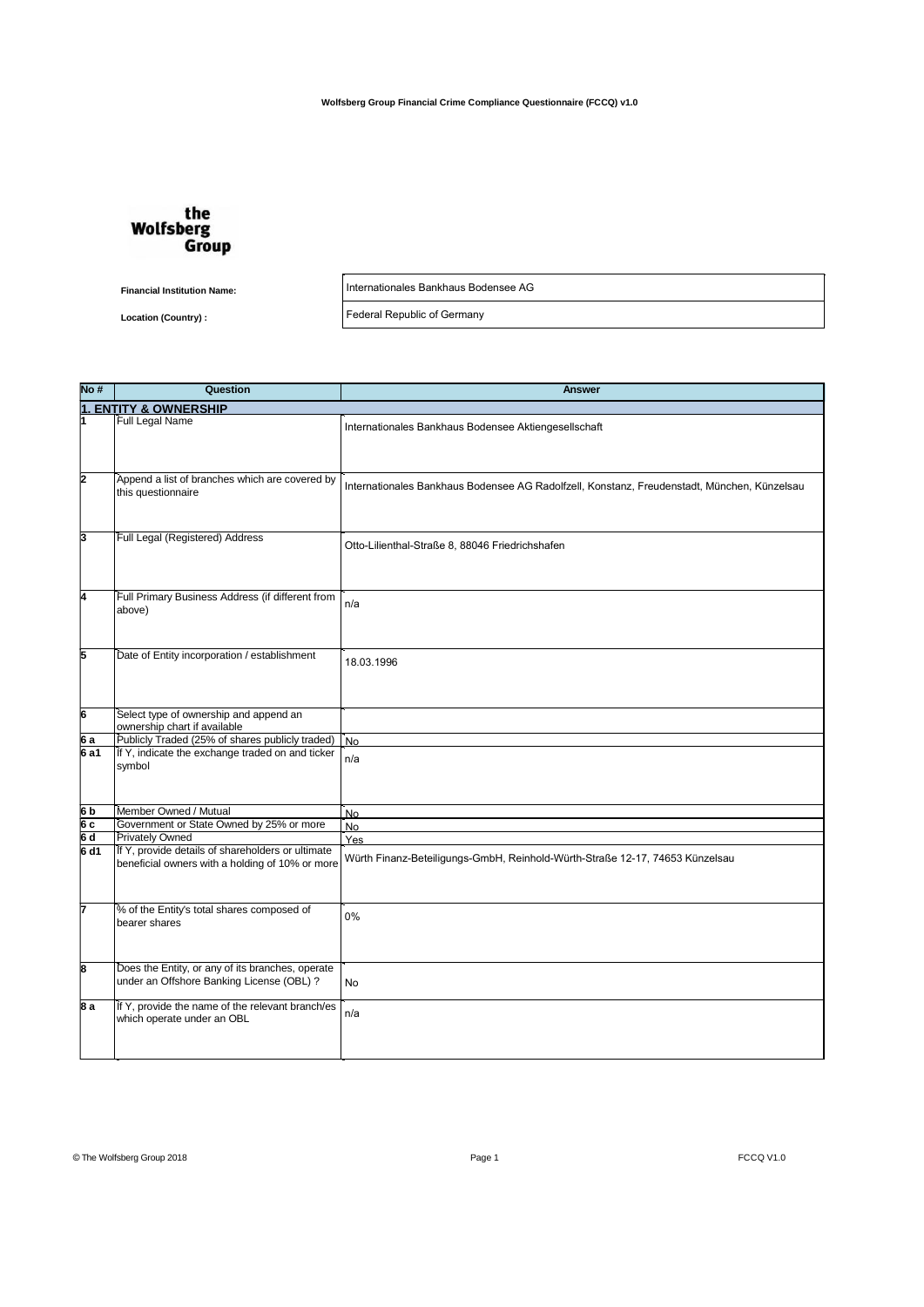

**Financial Institution Name:**

**Location (Country) :**

Internationales Bankhaus Bodensee AG

Federal Republic of Germany

| No #               | Question                                          | <b>Answer</b>                                                                               |
|--------------------|---------------------------------------------------|---------------------------------------------------------------------------------------------|
|                    | <b>ENTITY &amp; OWNERSHIP</b>                     |                                                                                             |
|                    | Full Legal Name                                   |                                                                                             |
|                    |                                                   | Internationales Bankhaus Bodensee Aktiengesellschaft                                        |
|                    |                                                   |                                                                                             |
|                    |                                                   |                                                                                             |
| 2                  | Append a list of branches which are covered by    |                                                                                             |
|                    | this questionnaire                                | Internationales Bankhaus Bodensee AG Radolfzell, Konstanz, Freudenstadt, München, Künzelsau |
|                    |                                                   |                                                                                             |
|                    |                                                   |                                                                                             |
|                    |                                                   |                                                                                             |
| З                  | Full Legal (Registered) Address                   | Otto-Lilienthal-Straße 8, 88046 Friedrichshafen                                             |
|                    |                                                   |                                                                                             |
|                    |                                                   |                                                                                             |
|                    |                                                   |                                                                                             |
| 4                  | Full Primary Business Address (if different from  |                                                                                             |
|                    | above)                                            | n/a                                                                                         |
|                    |                                                   |                                                                                             |
|                    |                                                   |                                                                                             |
| 5                  | Date of Entity incorporation / establishment      |                                                                                             |
|                    |                                                   | 18.03.1996                                                                                  |
|                    |                                                   |                                                                                             |
|                    |                                                   |                                                                                             |
|                    |                                                   |                                                                                             |
| $\overline{6}$     | Select type of ownership and append an            |                                                                                             |
|                    | ownership chart if available                      |                                                                                             |
| 6a                 | Publicly Traded (25% of shares publicly traded)   | <b>No</b>                                                                                   |
| 6a1                | If Y, indicate the exchange traded on and ticker  | n/a                                                                                         |
|                    | symbol                                            |                                                                                             |
|                    |                                                   |                                                                                             |
|                    |                                                   |                                                                                             |
| 6b                 | Member Owned / Mutual                             | No                                                                                          |
| 6 c<br>6 d<br>6 d1 | Government or State Owned by 25% or more          | No                                                                                          |
|                    | Privately Owned                                   | Yes                                                                                         |
|                    | If Y, provide details of shareholders or ultimate | Würth Finanz-Beteiligungs-GmbH, Reinhold-Würth-Straße 12-17, 74653 Künzelsau                |
|                    | beneficial owners with a holding of 10% or more   |                                                                                             |
|                    |                                                   |                                                                                             |
|                    |                                                   |                                                                                             |
|                    | % of the Entity's total shares composed of        |                                                                                             |
|                    | bearer shares                                     | 0%                                                                                          |
|                    |                                                   |                                                                                             |
|                    |                                                   |                                                                                             |
| 8                  | Does the Entity, or any of its branches, operate  |                                                                                             |
|                    | under an Offshore Banking License (OBL) ?         | <b>No</b>                                                                                   |
|                    |                                                   |                                                                                             |
| 8 a                | If Y, provide the name of the relevant branch/es  |                                                                                             |
|                    | which operate under an OBL                        | n/a                                                                                         |
|                    |                                                   |                                                                                             |
|                    |                                                   |                                                                                             |
|                    |                                                   |                                                                                             |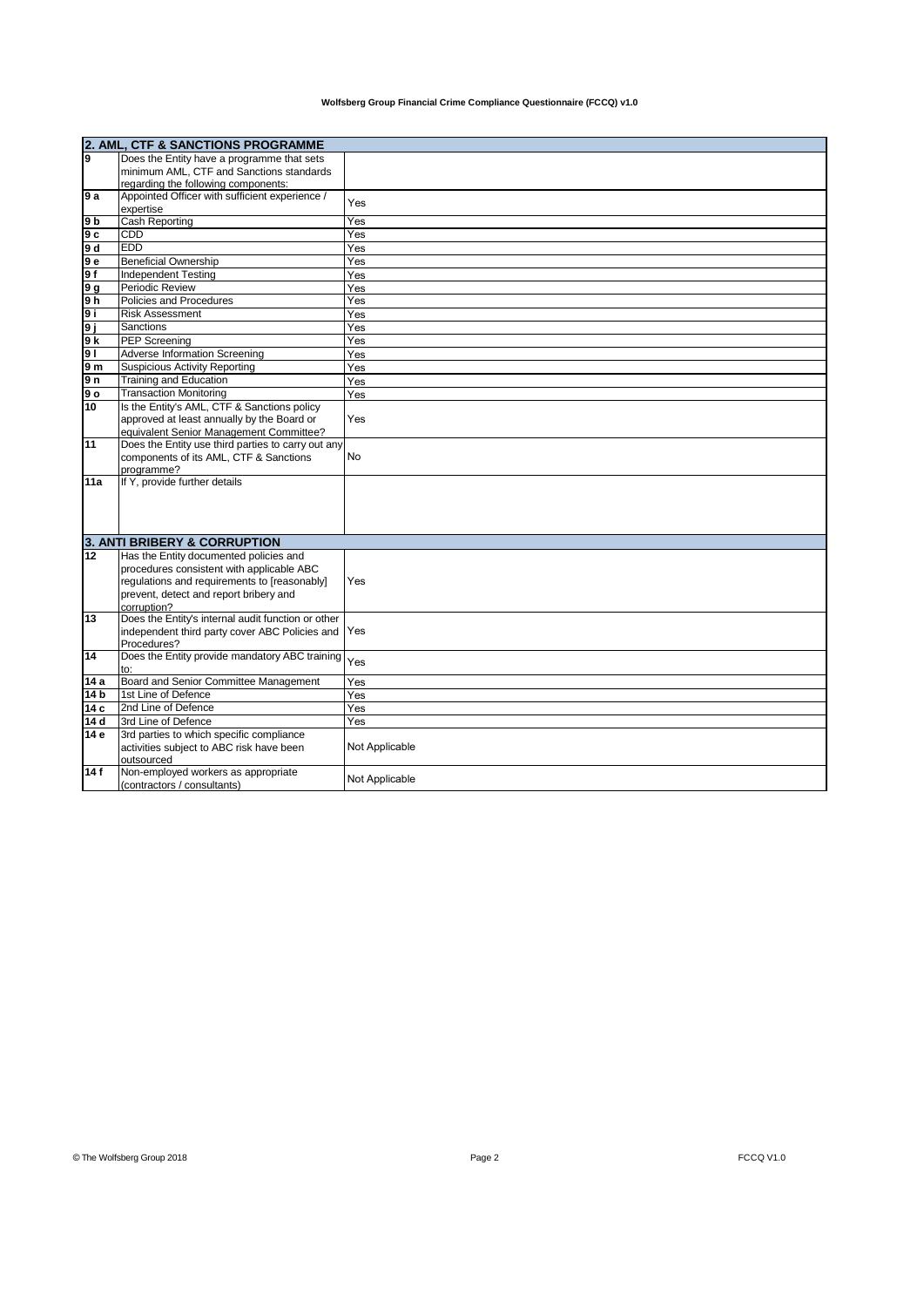|                       | 2. AML, CTF & SANCTIONS PROGRAMME                                            |                |  |
|-----------------------|------------------------------------------------------------------------------|----------------|--|
| 9                     | Does the Entity have a programme that sets                                   |                |  |
|                       | minimum AML, CTF and Sanctions standards                                     |                |  |
|                       | regarding the following components:                                          |                |  |
| 9 a                   | Appointed Officer with sufficient experience /<br>expertise                  | Yes            |  |
| 9 b                   | <b>Cash Reporting</b>                                                        | Yes            |  |
| 9 с                   | CDD                                                                          | Yes            |  |
| 9 d                   | <b>EDD</b>                                                                   | Yes            |  |
| 9е                    | <b>Beneficial Ownership</b>                                                  | Yes            |  |
| 9 f                   | <b>Independent Testing</b>                                                   | Yes            |  |
| l9 g                  | Periodic Review                                                              | Yes            |  |
| 9 <sub>h</sub>        | Policies and Procedures                                                      | Yes            |  |
| 9 i                   | <b>Risk Assessment</b>                                                       |                |  |
|                       | <b>Sanctions</b>                                                             | Yes<br>Yes     |  |
| 9 j                   |                                                                              |                |  |
| 9 k                   | <b>PEP Screening</b><br><b>Adverse Information Screening</b>                 | Yes            |  |
| 9 <sub>1</sub><br>9 m | <b>Suspicious Activity Reporting</b>                                         | Yes            |  |
|                       |                                                                              | <b>Yes</b>     |  |
| 9 n                   | Training and Education                                                       | Yes            |  |
| 9о                    | <b>Transaction Monitoring</b><br>Is the Entity's AML, CTF & Sanctions policy | Yes            |  |
| 10                    | approved at least annually by the Board or                                   | Yes            |  |
|                       | equivalent Senior Management Committee?                                      |                |  |
| 11                    | Does the Entity use third parties to carry out any                           |                |  |
|                       | components of its AML, CTF & Sanctions                                       | <b>No</b>      |  |
|                       | programme?                                                                   |                |  |
| 11a                   | If Y, provide further details                                                |                |  |
|                       |                                                                              |                |  |
|                       |                                                                              |                |  |
|                       |                                                                              |                |  |
|                       |                                                                              |                |  |
|                       | 3. ANTI BRIBERY & CORRUPTION                                                 |                |  |
| 12                    | Has the Entity documented policies and                                       |                |  |
|                       | procedures consistent with applicable ABC                                    |                |  |
|                       | regulations and requirements to [reasonably]                                 | Yes            |  |
|                       | prevent, detect and report bribery and                                       |                |  |
|                       | corruption?                                                                  |                |  |
| 13                    | Does the Entity's internal audit function or other                           |                |  |
|                       | independent third party cover ABC Policies and                               | Yes            |  |
|                       | Procedures?<br>Does the Entity provide mandatory ABC training                |                |  |
| 14                    | to:                                                                          | Yes            |  |
| 14 a                  | Board and Senior Committee Management                                        | Yes            |  |
| 14 b                  | 1st Line of Defence                                                          | Yes            |  |
| 14 c                  | 2nd Line of Defence                                                          | Yes            |  |
| 14 d                  | 3rd Line of Defence                                                          | Yes            |  |
| 14 e                  | 3rd parties to which specific compliance                                     |                |  |
|                       | activities subject to ABC risk have been                                     | Not Applicable |  |
|                       | outsourced                                                                   |                |  |
| 14 f                  | Non-employed workers as appropriate                                          |                |  |
|                       | (contractors / consultants)                                                  | Not Applicable |  |
|                       |                                                                              |                |  |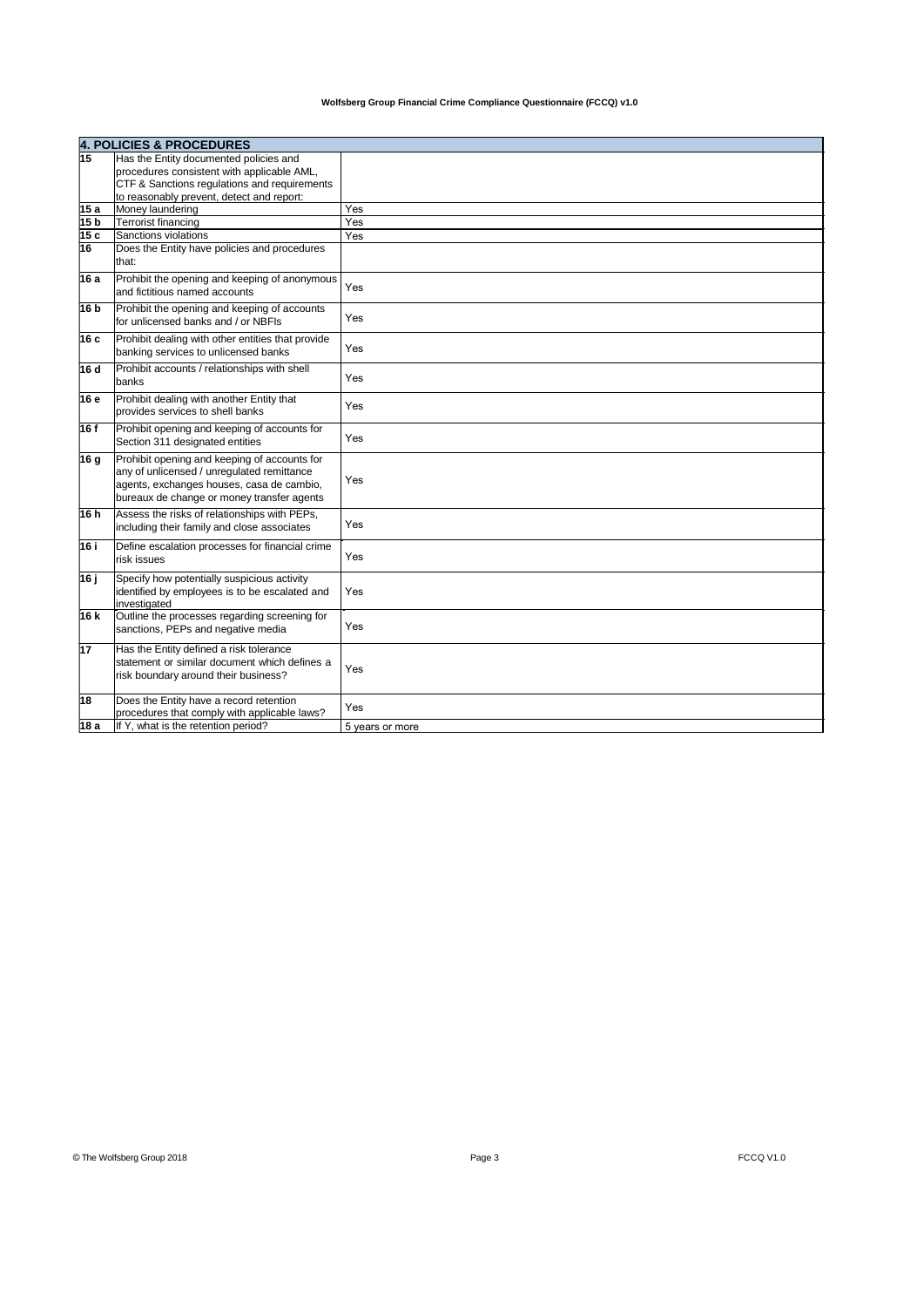|      | <b>4. POLICIES &amp; PROCEDURES</b>                                                                                                                                                   |                 |
|------|---------------------------------------------------------------------------------------------------------------------------------------------------------------------------------------|-----------------|
| 15   | Has the Entity documented policies and                                                                                                                                                |                 |
|      | procedures consistent with applicable AML,                                                                                                                                            |                 |
|      | CTF & Sanctions regulations and requirements                                                                                                                                          |                 |
|      | to reasonably prevent, detect and report:                                                                                                                                             |                 |
| 15a  | Money laundering                                                                                                                                                                      | Yes             |
| 15 b | <b>Terrorist financing</b>                                                                                                                                                            | Yes             |
| 15c  | Sanctions violations                                                                                                                                                                  | Yes             |
| 16   | Does the Entity have policies and procedures<br>that:                                                                                                                                 |                 |
| 16 a | Prohibit the opening and keeping of anonymous<br>and fictitious named accounts                                                                                                        | Yes             |
| 16 b | Prohibit the opening and keeping of accounts<br>for unlicensed banks and / or NBFIs                                                                                                   | Yes             |
| 16 с | Prohibit dealing with other entities that provide<br>banking services to unlicensed banks                                                                                             | Yes             |
| 16 d | Prohibit accounts / relationships with shell<br>banks                                                                                                                                 | Yes             |
| 16 e | Prohibit dealing with another Entity that<br>provides services to shell banks                                                                                                         | Yes             |
| 16 f | Prohibit opening and keeping of accounts for<br>Section 311 designated entities                                                                                                       | Yes             |
| 16 g | Prohibit opening and keeping of accounts for<br>any of unlicensed / unrequlated remittance<br>agents, exchanges houses, casa de cambio,<br>bureaux de change or money transfer agents | Yes             |
| 16h  | Assess the risks of relationships with PEPs,<br>including their family and close associates                                                                                           | Yes             |
| 16 i | Define escalation processes for financial crime<br>risk issues                                                                                                                        | Yes             |
| 16 ј | Specify how potentially suspicious activity<br>identified by employees is to be escalated and<br>investigated                                                                         | Yes             |
| 16 k | Outline the processes regarding screening for<br>sanctions, PEPs and negative media                                                                                                   | Yes             |
| 17   | Has the Entity defined a risk tolerance<br>statement or similar document which defines a<br>risk boundary around their business?                                                      | Yes             |
| 18   | Does the Entity have a record retention<br>procedures that comply with applicable laws?                                                                                               | Yes             |
| 18 a | If Y, what is the retention period?                                                                                                                                                   | 5 years or more |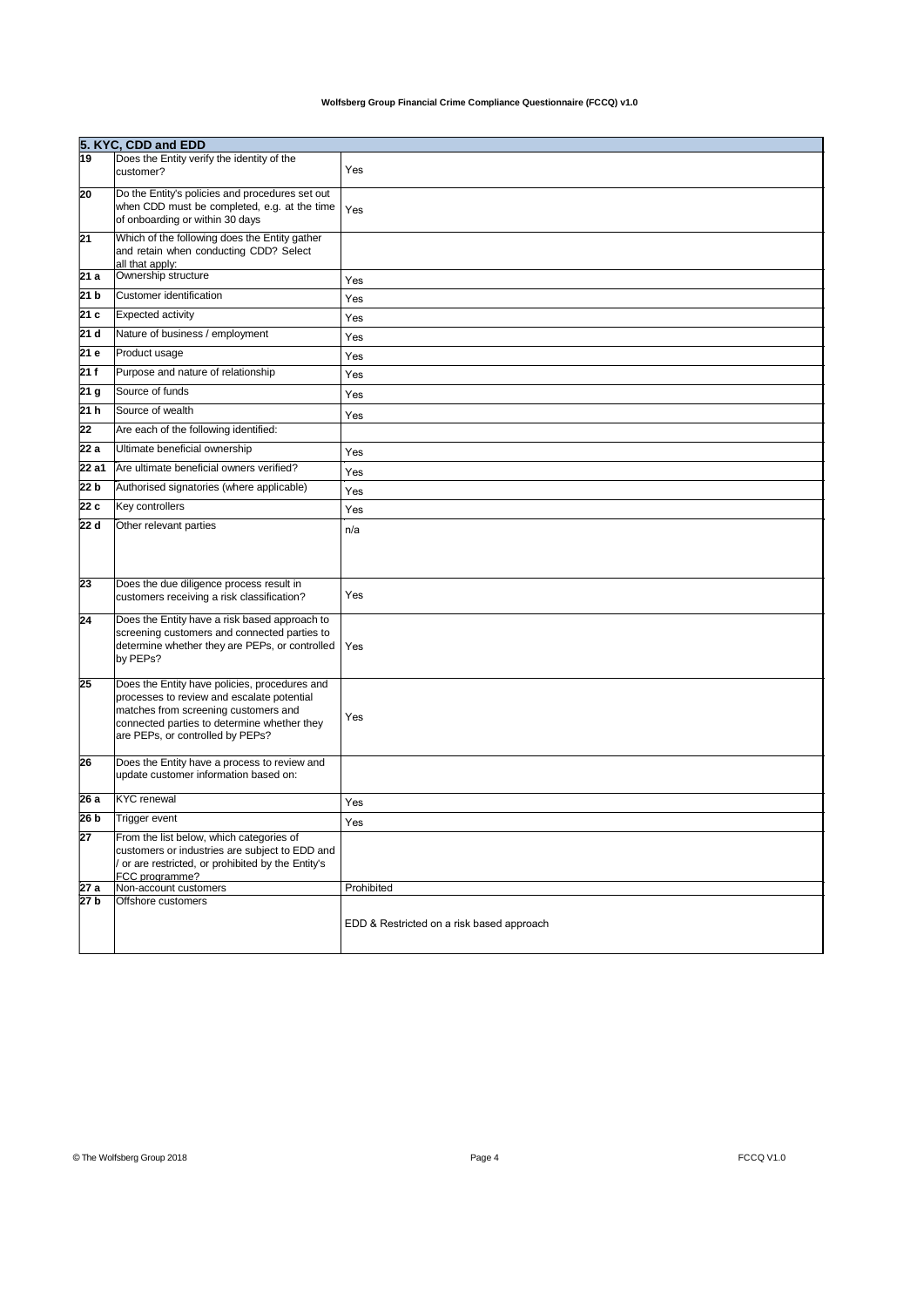|                 | 5. KYC, CDD and EDD                                                                                                                                                                                                    |                                           |  |
|-----------------|------------------------------------------------------------------------------------------------------------------------------------------------------------------------------------------------------------------------|-------------------------------------------|--|
| 19              | Does the Entity verify the identity of the<br>customer?                                                                                                                                                                | Yes                                       |  |
| 20              | Do the Entity's policies and procedures set out<br>when CDD must be completed, e.g. at the time<br>of onboarding or within 30 days                                                                                     | Yes                                       |  |
| 21              | Which of the following does the Entity gather<br>and retain when conducting CDD? Select<br>all that apply:                                                                                                             |                                           |  |
| 21 a            | Ownership structure                                                                                                                                                                                                    | Yes                                       |  |
| 21 b            | Customer identification                                                                                                                                                                                                | Yes                                       |  |
| 21 <sub>c</sub> | <b>Expected activity</b>                                                                                                                                                                                               | Yes                                       |  |
| 21 d            | Nature of business / employment                                                                                                                                                                                        | Yes                                       |  |
| 21 e            | Product usage                                                                                                                                                                                                          | Yes                                       |  |
| 21f             | Purpose and nature of relationship                                                                                                                                                                                     | Yes                                       |  |
| 21 g            | Source of funds                                                                                                                                                                                                        | Yes                                       |  |
| 21h             | Source of wealth                                                                                                                                                                                                       | Yes                                       |  |
| 22              | Are each of the following identified:                                                                                                                                                                                  |                                           |  |
| 22a             | Ultimate beneficial ownership                                                                                                                                                                                          | Yes                                       |  |
| 22 a1           | Are ultimate beneficial owners verified?                                                                                                                                                                               | Yes                                       |  |
| 22 b            | Authorised signatories (where applicable)                                                                                                                                                                              | Yes                                       |  |
| 22 c            | Key controllers                                                                                                                                                                                                        | Yes                                       |  |
| 22 d            | Other relevant parties                                                                                                                                                                                                 | n/a                                       |  |
| 23              | Does the due diligence process result in<br>customers receiving a risk classification?                                                                                                                                 | Yes                                       |  |
| 24              | Does the Entity have a risk based approach to<br>screening customers and connected parties to<br>determine whether they are PEPs, or controlled<br>by PEPs?                                                            | Yes                                       |  |
| 25              | Does the Entity have policies, procedures and<br>processes to review and escalate potential<br>matches from screening customers and<br>connected parties to determine whether they<br>are PEPs, or controlled by PEPs? | Yes                                       |  |
| 26              | Does the Entity have a process to review and<br>update customer information based on:                                                                                                                                  |                                           |  |
| 26 a            | <b>KYC</b> renewal                                                                                                                                                                                                     | Yes                                       |  |
| 26 b            | Trigger event                                                                                                                                                                                                          | Yes                                       |  |
| 27              | From the list below, which categories of<br>customers or industries are subject to EDD and<br>or are restricted, or prohibited by the Entity's<br>FCC programme?                                                       |                                           |  |
| 27 a            | Non-account customers<br>Offshore customers                                                                                                                                                                            | Prohibited                                |  |
| 27 b            |                                                                                                                                                                                                                        | EDD & Restricted on a risk based approach |  |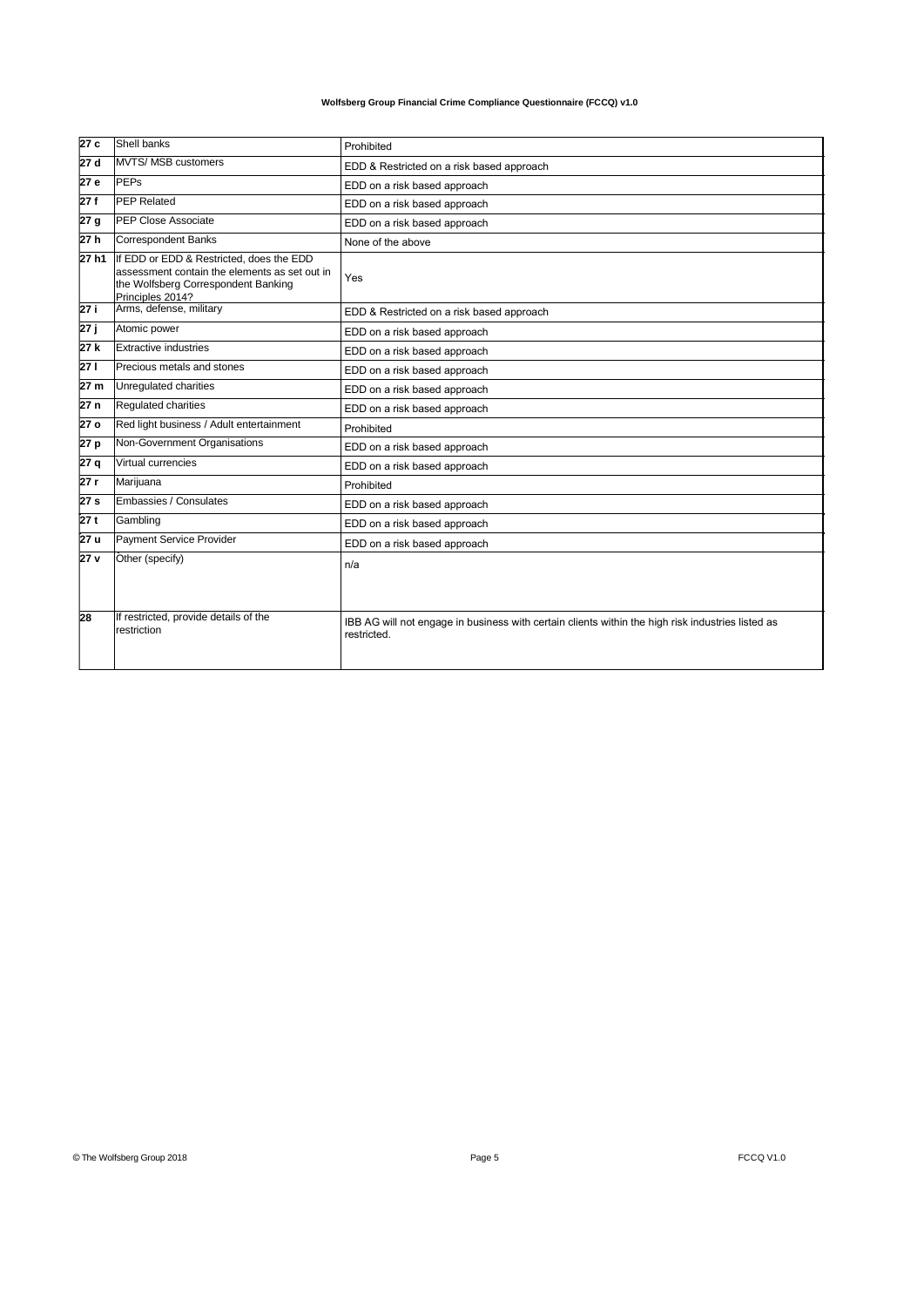| 27c  | Shell banks                                                                                                                                          | Prohibited                                                                                                       |
|------|------------------------------------------------------------------------------------------------------------------------------------------------------|------------------------------------------------------------------------------------------------------------------|
| 27 d | <b>MVTS/ MSB customers</b>                                                                                                                           | EDD & Restricted on a risk based approach                                                                        |
| 27 e | <b>PEPs</b>                                                                                                                                          | EDD on a risk based approach                                                                                     |
| 27f  | <b>PEP Related</b>                                                                                                                                   | EDD on a risk based approach                                                                                     |
| 27 g | <b>PEP Close Associate</b>                                                                                                                           | EDD on a risk based approach                                                                                     |
| 27h  | <b>Correspondent Banks</b>                                                                                                                           | None of the above                                                                                                |
| 27h1 | If EDD or EDD & Restricted, does the EDD<br>assessment contain the elements as set out in<br>the Wolfsberg Correspondent Banking<br>Principles 2014? | Yes                                                                                                              |
| 27 i | Arms, defense, military                                                                                                                              | EDD & Restricted on a risk based approach                                                                        |
| 27 ј | Atomic power                                                                                                                                         | EDD on a risk based approach                                                                                     |
| 27 k | <b>Extractive industries</b>                                                                                                                         | EDD on a risk based approach                                                                                     |
| 27 I | Precious metals and stones                                                                                                                           | EDD on a risk based approach                                                                                     |
| 27 m | Unregulated charities                                                                                                                                | EDD on a risk based approach                                                                                     |
| 27 n | Regulated charities                                                                                                                                  | EDD on a risk based approach                                                                                     |
| 27 o | Red light business / Adult entertainment                                                                                                             | Prohibited                                                                                                       |
| 27 p | Non-Government Organisations                                                                                                                         | EDD on a risk based approach                                                                                     |
| 27 q | Virtual currencies                                                                                                                                   | EDD on a risk based approach                                                                                     |
| 27 r | Marijuana                                                                                                                                            | Prohibited                                                                                                       |
| 27 s | Embassies / Consulates                                                                                                                               | EDD on a risk based approach                                                                                     |
| 27 t | Gambling                                                                                                                                             | EDD on a risk based approach                                                                                     |
| 27 u | Payment Service Provider                                                                                                                             | EDD on a risk based approach                                                                                     |
| 27 v | Other (specify)                                                                                                                                      | n/a                                                                                                              |
| 28   | If restricted, provide details of the<br>restriction                                                                                                 | IBB AG will not engage in business with certain clients within the high risk industries listed as<br>restricted. |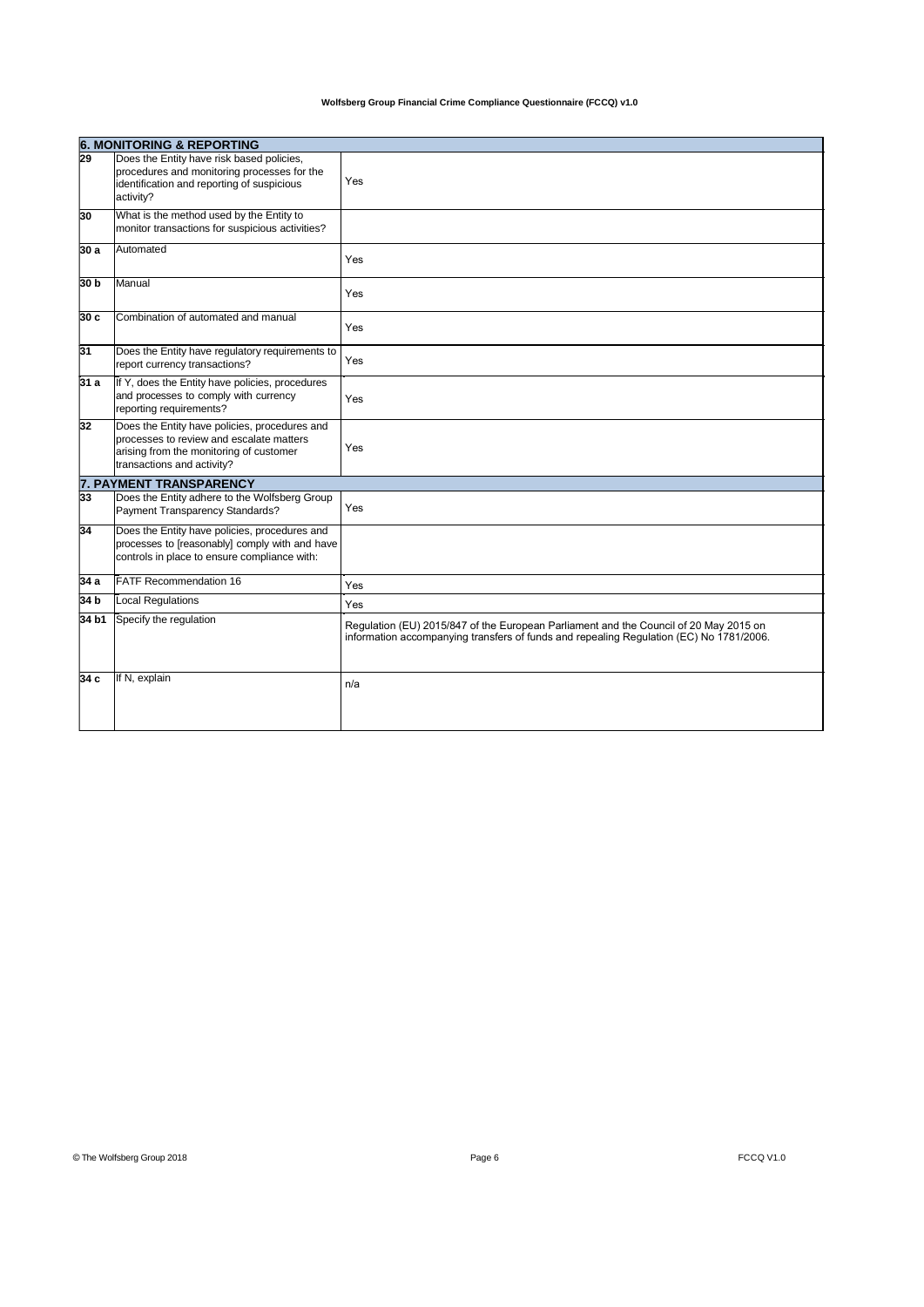|                 | <b>6. MONITORING &amp; REPORTING</b>                                                                                                                               |                                                                                                                                                                                  |  |
|-----------------|--------------------------------------------------------------------------------------------------------------------------------------------------------------------|----------------------------------------------------------------------------------------------------------------------------------------------------------------------------------|--|
| $\overline{29}$ | Does the Entity have risk based policies,<br>procedures and monitoring processes for the<br>identification and reporting of suspicious<br>activity?                | Yes                                                                                                                                                                              |  |
| 30              | What is the method used by the Entity to<br>monitor transactions for suspicious activities?                                                                        |                                                                                                                                                                                  |  |
| 30 a            | Automated                                                                                                                                                          | Yes                                                                                                                                                                              |  |
| 30 b            | Manual                                                                                                                                                             | Yes                                                                                                                                                                              |  |
| 30c             | Combination of automated and manual                                                                                                                                | Yes                                                                                                                                                                              |  |
| 31              | Does the Entity have regulatory requirements to<br>report currency transactions?                                                                                   | Yes                                                                                                                                                                              |  |
| 31 a            | If Y, does the Entity have policies, procedures<br>and processes to comply with currency<br>reporting requirements?                                                | Yes                                                                                                                                                                              |  |
| 32              | Does the Entity have policies, procedures and<br>processes to review and escalate matters<br>arising from the monitoring of customer<br>transactions and activity? | Yes                                                                                                                                                                              |  |
|                 | <b>7. PAYMENT TRANSPARENCY</b>                                                                                                                                     |                                                                                                                                                                                  |  |
| 33              | Does the Entity adhere to the Wolfsberg Group<br>Payment Transparency Standards?                                                                                   | Yes                                                                                                                                                                              |  |
| 34              | Does the Entity have policies, procedures and<br>processes to [reasonably] comply with and have<br>controls in place to ensure compliance with:                    |                                                                                                                                                                                  |  |
| 34 a            | <b>FATF Recommendation 16</b>                                                                                                                                      | Yes                                                                                                                                                                              |  |
| 34 b            | <b>Local Regulations</b>                                                                                                                                           | Yes                                                                                                                                                                              |  |
| 34 b1           | Specify the regulation                                                                                                                                             | Regulation (EU) 2015/847 of the European Parliament and the Council of 20 May 2015 on<br>information accompanying transfers of funds and repealing Regulation (EC) No 1781/2006. |  |
| 34 с            | If N, explain                                                                                                                                                      | n/a                                                                                                                                                                              |  |